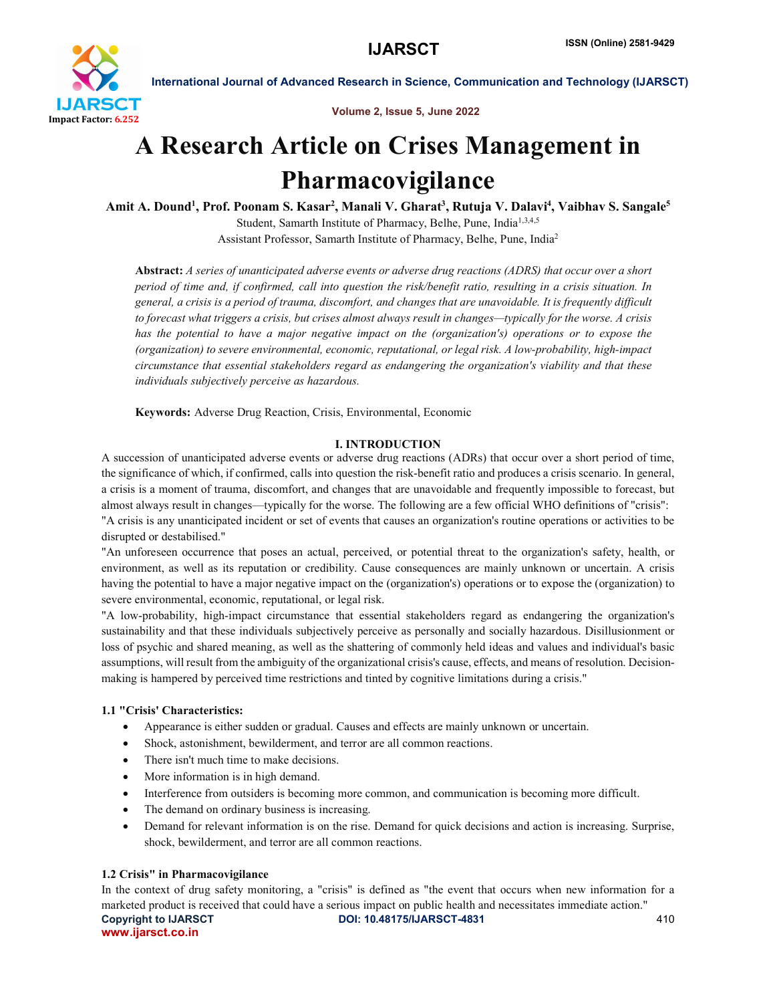

Volume 2, Issue 5, June 2022

# A Research Article on Crises Management in Pharmacovigilance

Amit A. Dound<sup>1</sup>, Prof. Poonam S. Kasar<sup>2</sup>, Manali V. Gharat<sup>3</sup>, Rutuja V. Dalavi<sup>4</sup>, Vaibhav S. Sangale<sup>5</sup> Student, Samarth Institute of Pharmacy, Belhe, Pune, India<sup>1,3,4,5</sup>

Assistant Professor, Samarth Institute of Pharmacy, Belhe, Pune, India2

Abstract: *A series of unanticipated adverse events or adverse drug reactions (ADRS) that occur over a short period of time and, if confirmed, call into question the risk/benefit ratio, resulting in a crisis situation. In general, a crisis is a period of trauma, discomfort, and changes that are unavoidable. It is frequently difficult to forecast what triggers a crisis, but crises almost always result in changes—typically for the worse. A crisis has the potential to have a major negative impact on the (organization's) operations or to expose the (organization) to severe environmental, economic, reputational, or legal risk. A low-probability, high-impact circumstance that essential stakeholders regard as endangering the organization's viability and that these individuals subjectively perceive as hazardous.*

Keywords: Adverse Drug Reaction, Crisis, Environmental, Economic

# I. INTRODUCTION

A succession of unanticipated adverse events or adverse drug reactions (ADRs) that occur over a short period of time, the significance of which, if confirmed, calls into question the risk-benefit ratio and produces a crisis scenario. In general, a crisis is a moment of trauma, discomfort, and changes that are unavoidable and frequently impossible to forecast, but almost always result in changes—typically for the worse. The following are a few official WHO definitions of "crisis": "A crisis is any unanticipated incident or set of events that causes an organization's routine operations or activities to be disrupted or destabilised."

"An unforeseen occurrence that poses an actual, perceived, or potential threat to the organization's safety, health, or environment, as well as its reputation or credibility. Cause consequences are mainly unknown or uncertain. A crisis having the potential to have a major negative impact on the (organization's) operations or to expose the (organization) to severe environmental, economic, reputational, or legal risk.

"A low-probability, high-impact circumstance that essential stakeholders regard as endangering the organization's sustainability and that these individuals subjectively perceive as personally and socially hazardous. Disillusionment or loss of psychic and shared meaning, as well as the shattering of commonly held ideas and values and individual's basic assumptions, will result from the ambiguity of the organizational crisis's cause, effects, and means of resolution. Decisionmaking is hampered by perceived time restrictions and tinted by cognitive limitations during a crisis."

# 1.1 "Crisis' Characteristics:

- Appearance is either sudden or gradual. Causes and effects are mainly unknown or uncertain.
- Shock, astonishment, bewilderment, and terror are all common reactions.
- There isn't much time to make decisions.
- More information is in high demand.
- Interference from outsiders is becoming more common, and communication is becoming more difficult.
- The demand on ordinary business is increasing.
- Demand for relevant information is on the rise. Demand for quick decisions and action is increasing. Surprise, shock, bewilderment, and terror are all common reactions.

# 1.2 Crisis" in Pharmacovigilance

Copyright to IJARSCT DOI: 10.48175/IJARSCT-4831 410 www.ijarsct.co.in In the context of drug safety monitoring, a "crisis" is defined as "the event that occurs when new information for a marketed product is received that could have a serious impact on public health and necessitates immediate action."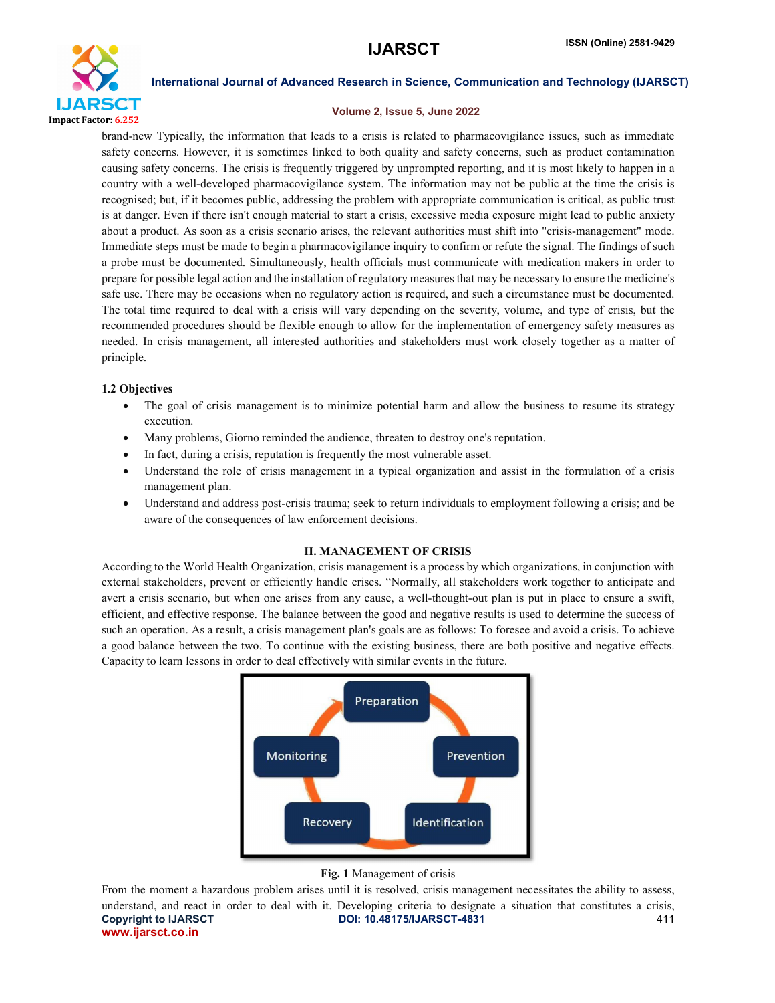

### Volume 2, Issue 5, June 2022

brand-new Typically, the information that leads to a crisis is related to pharmacovigilance issues, such as immediate safety concerns. However, it is sometimes linked to both quality and safety concerns, such as product contamination causing safety concerns. The crisis is frequently triggered by unprompted reporting, and it is most likely to happen in a country with a well-developed pharmacovigilance system. The information may not be public at the time the crisis is recognised; but, if it becomes public, addressing the problem with appropriate communication is critical, as public trust is at danger. Even if there isn't enough material to start a crisis, excessive media exposure might lead to public anxiety about a product. As soon as a crisis scenario arises, the relevant authorities must shift into "crisis-management" mode. Immediate steps must be made to begin a pharmacovigilance inquiry to confirm or refute the signal. The findings of such a probe must be documented. Simultaneously, health officials must communicate with medication makers in order to prepare for possible legal action and the installation of regulatory measures that may be necessary to ensure the medicine's safe use. There may be occasions when no regulatory action is required, and such a circumstance must be documented. The total time required to deal with a crisis will vary depending on the severity, volume, and type of crisis, but the recommended procedures should be flexible enough to allow for the implementation of emergency safety measures as needed. In crisis management, all interested authorities and stakeholders must work closely together as a matter of principle.

# 1.2 Objectives

- The goal of crisis management is to minimize potential harm and allow the business to resume its strategy execution.
- Many problems, Giorno reminded the audience, threaten to destroy one's reputation.
- In fact, during a crisis, reputation is frequently the most vulnerable asset.
- Understand the role of crisis management in a typical organization and assist in the formulation of a crisis management plan.
- Understand and address post-crisis trauma; seek to return individuals to employment following a crisis; and be aware of the consequences of law enforcement decisions.

## II. MANAGEMENT OF CRISIS

According to the World Health Organization, crisis management is a process by which organizations, in conjunction with external stakeholders, prevent or efficiently handle crises. "Normally, all stakeholders work together to anticipate and avert a crisis scenario, but when one arises from any cause, a well-thought-out plan is put in place to ensure a swift, efficient, and effective response. The balance between the good and negative results is used to determine the success of such an operation. As a result, a crisis management plan's goals are as follows: To foresee and avoid a crisis. To achieve a good balance between the two. To continue with the existing business, there are both positive and negative effects. Capacity to learn lessons in order to deal effectively with similar events in the future.



### Fig. 1 Management of crisis

Copyright to IJARSCT DOI: 10.48175/IJARSCT-4831 411 www.ijarsct.co.in From the moment a hazardous problem arises until it is resolved, crisis management necessitates the ability to assess, understand, and react in order to deal with it. Developing criteria to designate a situation that constitutes a crisis,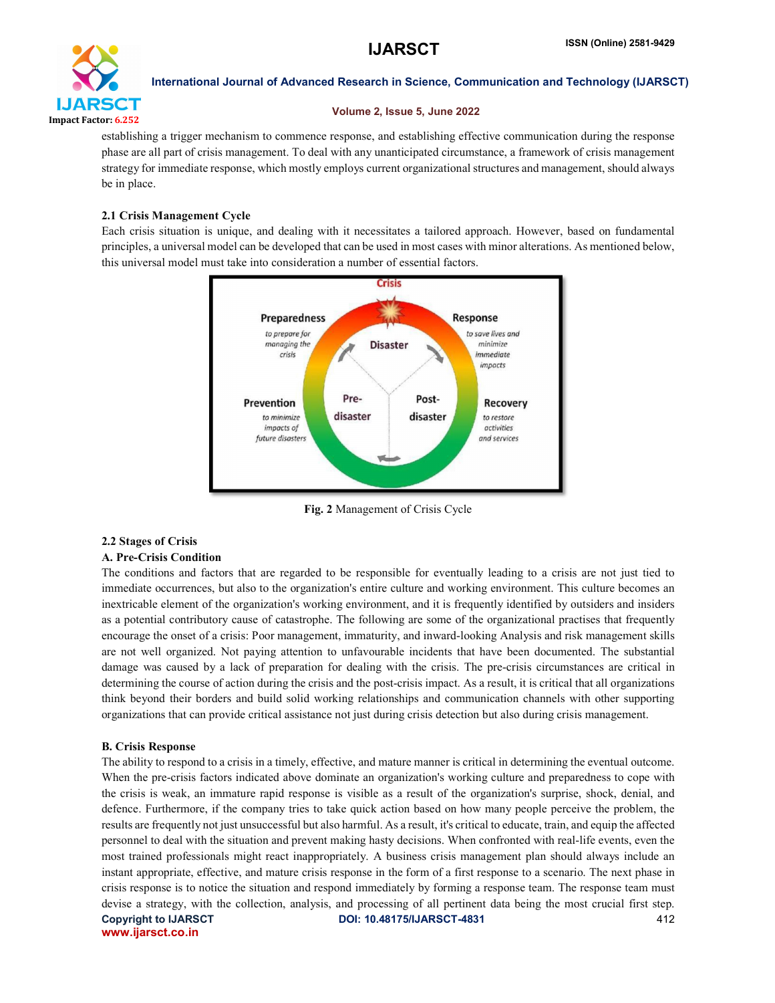

# Volume 2, Issue 5, June 2022

establishing a trigger mechanism to commence response, and establishing effective communication during the response phase are all part of crisis management. To deal with any unanticipated circumstance, a framework of crisis management strategy for immediate response, which mostly employs current organizational structures and management, should always be in place.

# 2.1 Crisis Management Cycle

Each crisis situation is unique, and dealing with it necessitates a tailored approach. However, based on fundamental principles, a universal model can be developed that can be used in most cases with minor alterations. As mentioned below, this universal model must take into consideration a number of essential factors.



Fig. 2 Management of Crisis Cycle

# 2.2 Stages of Crisis

# A. Pre-Crisis Condition

The conditions and factors that are regarded to be responsible for eventually leading to a crisis are not just tied to immediate occurrences, but also to the organization's entire culture and working environment. This culture becomes an inextricable element of the organization's working environment, and it is frequently identified by outsiders and insiders as a potential contributory cause of catastrophe. The following are some of the organizational practises that frequently encourage the onset of a crisis: Poor management, immaturity, and inward-looking Analysis and risk management skills are not well organized. Not paying attention to unfavourable incidents that have been documented. The substantial damage was caused by a lack of preparation for dealing with the crisis. The pre-crisis circumstances are critical in determining the course of action during the crisis and the post-crisis impact. As a result, it is critical that all organizations think beyond their borders and build solid working relationships and communication channels with other supporting organizations that can provide critical assistance not just during crisis detection but also during crisis management.

# B. Crisis Response

Copyright to IJARSCT DOI: 10.48175/IJARSCT-4831 412 www.ijarsct.co.in The ability to respond to a crisis in a timely, effective, and mature manner is critical in determining the eventual outcome. When the pre-crisis factors indicated above dominate an organization's working culture and preparedness to cope with the crisis is weak, an immature rapid response is visible as a result of the organization's surprise, shock, denial, and defence. Furthermore, if the company tries to take quick action based on how many people perceive the problem, the results are frequently not just unsuccessful but also harmful. As a result, it's critical to educate, train, and equip the affected personnel to deal with the situation and prevent making hasty decisions. When confronted with real-life events, even the most trained professionals might react inappropriately. A business crisis management plan should always include an instant appropriate, effective, and mature crisis response in the form of a first response to a scenario. The next phase in crisis response is to notice the situation and respond immediately by forming a response team. The response team must devise a strategy, with the collection, analysis, and processing of all pertinent data being the most crucial first step.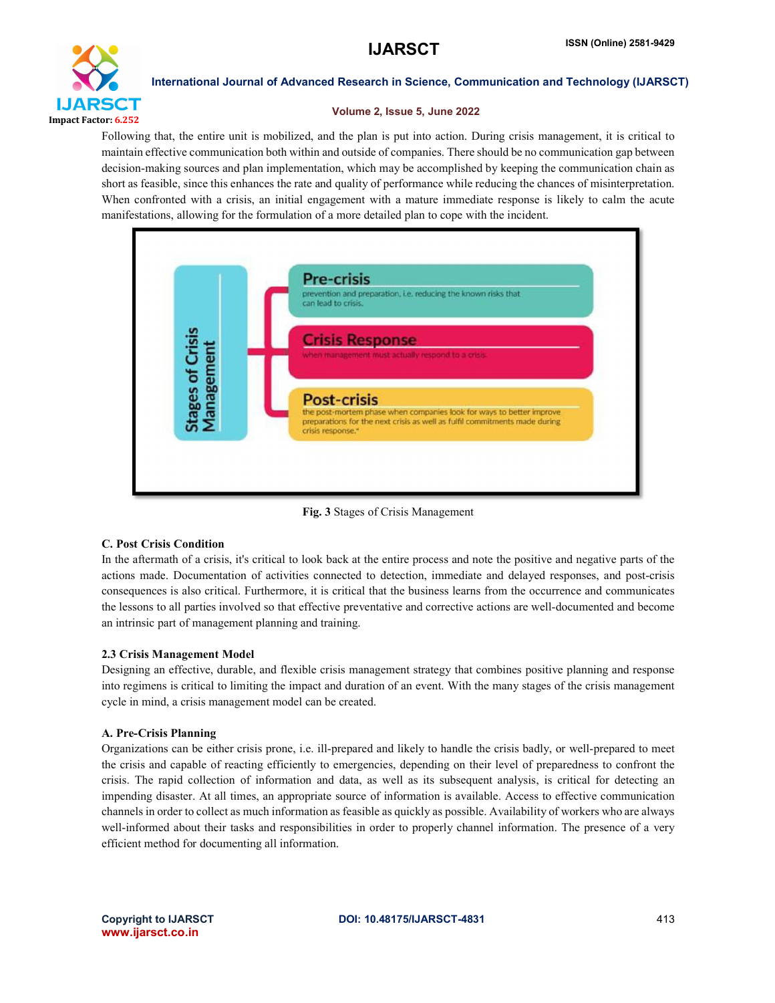

## Volume 2, Issue 5, June 2022

Following that, the entire unit is mobilized, and the plan is put into action. During crisis management, it is critical to maintain effective communication both within and outside of companies. There should be no communication gap between decision-making sources and plan implementation, which may be accomplished by keeping the communication chain as short as feasible, since this enhances the rate and quality of performance while reducing the chances of misinterpretation. When confronted with a crisis, an initial engagement with a mature immediate response is likely to calm the acute manifestations, allowing for the formulation of a more detailed plan to cope with the incident.



Fig. 3 Stages of Crisis Management

# C. Post Crisis Condition

In the aftermath of a crisis, it's critical to look back at the entire process and note the positive and negative parts of the actions made. Documentation of activities connected to detection, immediate and delayed responses, and post-crisis consequences is also critical. Furthermore, it is critical that the business learns from the occurrence and communicates the lessons to all parties involved so that effective preventative and corrective actions are well-documented and become an intrinsic part of management planning and training.

# 2.3 Crisis Management Model

Designing an effective, durable, and flexible crisis management strategy that combines positive planning and response into regimens is critical to limiting the impact and duration of an event. With the many stages of the crisis management cycle in mind, a crisis management model can be created.

# A. Pre-Crisis Planning

Organizations can be either crisis prone, i.e. ill-prepared and likely to handle the crisis badly, or well-prepared to meet the crisis and capable of reacting efficiently to emergencies, depending on their level of preparedness to confront the crisis. The rapid collection of information and data, as well as its subsequent analysis, is critical for detecting an impending disaster. At all times, an appropriate source of information is available. Access to effective communication channels in order to collect as much information as feasible as quickly as possible. Availability of workers who are always well-informed about their tasks and responsibilities in order to properly channel information. The presence of a very efficient method for documenting all information.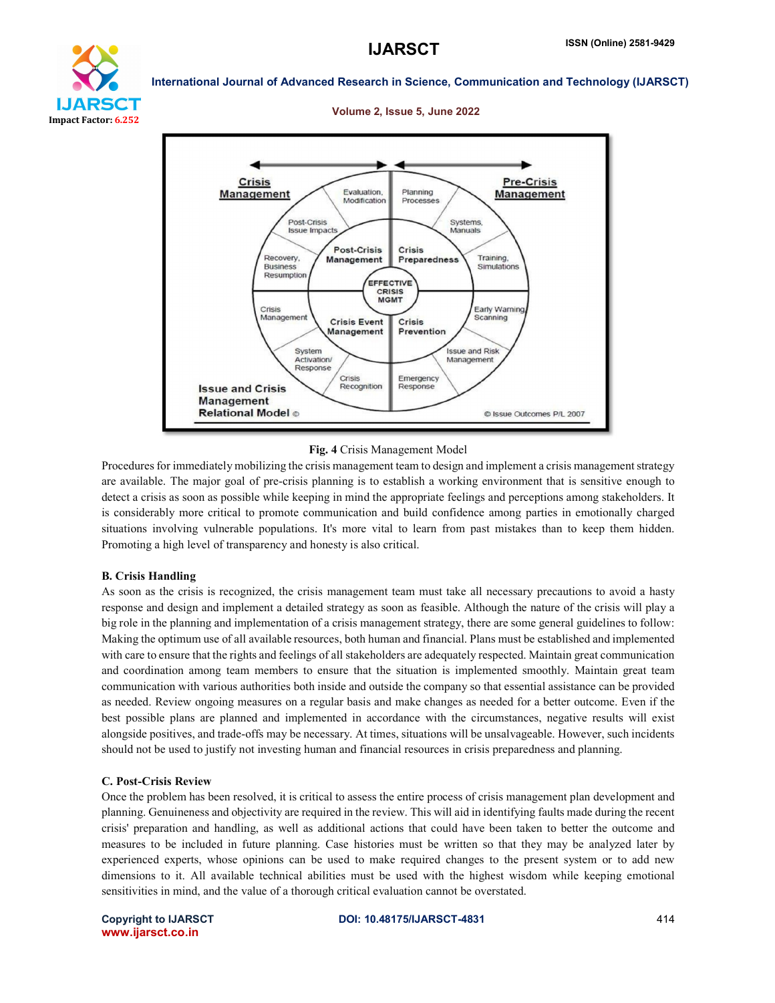

# 25CT Impact Factor: 6.252

International Journal of Advanced Research in Science, Communication and Technology (IJARSCT)

### Pre-Crisis **Crisis** Evaluation, **Management** Planning **Management** Modification Processes Post-Crisis Systems Manuals **Issue Impact Post-Crisis** Crisis Recovery, Training, Management Preparedness **Business** Simulations Resumption EFFECTIVE CRISIS **MGMT** Crisis Early Warning Management canning **Crisis Event** Crisis Management Prevention System **Issue and Risk** Activation/ Management Response Crisis Emergency **Issue and Crisis** Recognition **Response Management Relational Model ©** C Issue Outcomes P/L 2007

### Volume 2, Issue 5, June 2022

Fig. 4 Crisis Management Model

Procedures for immediately mobilizing the crisis management team to design and implement a crisis management strategy are available. The major goal of pre-crisis planning is to establish a working environment that is sensitive enough to detect a crisis as soon as possible while keeping in mind the appropriate feelings and perceptions among stakeholders. It is considerably more critical to promote communication and build confidence among parties in emotionally charged situations involving vulnerable populations. It's more vital to learn from past mistakes than to keep them hidden. Promoting a high level of transparency and honesty is also critical.

### B. Crisis Handling

As soon as the crisis is recognized, the crisis management team must take all necessary precautions to avoid a hasty response and design and implement a detailed strategy as soon as feasible. Although the nature of the crisis will play a big role in the planning and implementation of a crisis management strategy, there are some general guidelines to follow: Making the optimum use of all available resources, both human and financial. Plans must be established and implemented with care to ensure that the rights and feelings of all stakeholders are adequately respected. Maintain great communication and coordination among team members to ensure that the situation is implemented smoothly. Maintain great team communication with various authorities both inside and outside the company so that essential assistance can be provided as needed. Review ongoing measures on a regular basis and make changes as needed for a better outcome. Even if the best possible plans are planned and implemented in accordance with the circumstances, negative results will exist alongside positives, and trade-offs may be necessary. At times, situations will be unsalvageable. However, such incidents should not be used to justify not investing human and financial resources in crisis preparedness and planning.

### C. Post-Crisis Review

Once the problem has been resolved, it is critical to assess the entire process of crisis management plan development and planning. Genuineness and objectivity are required in the review. This will aid in identifying faults made during the recent crisis' preparation and handling, as well as additional actions that could have been taken to better the outcome and measures to be included in future planning. Case histories must be written so that they may be analyzed later by experienced experts, whose opinions can be used to make required changes to the present system or to add new dimensions to it. All available technical abilities must be used with the highest wisdom while keeping emotional sensitivities in mind, and the value of a thorough critical evaluation cannot be overstated.

www.ijarsct.co.in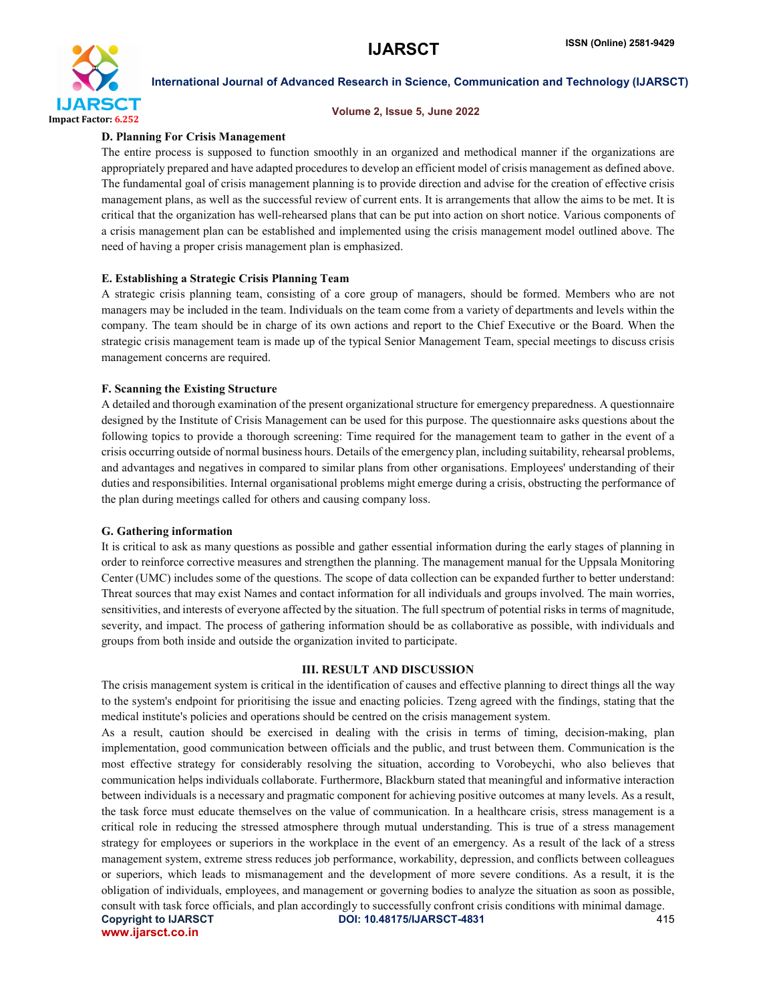

### Volume 2, Issue 5, June 2022

### D. Planning For Crisis Management

The entire process is supposed to function smoothly in an organized and methodical manner if the organizations are appropriately prepared and have adapted procedures to develop an efficient model of crisis management as defined above. The fundamental goal of crisis management planning is to provide direction and advise for the creation of effective crisis management plans, as well as the successful review of current ents. It is arrangements that allow the aims to be met. It is critical that the organization has well-rehearsed plans that can be put into action on short notice. Various components of a crisis management plan can be established and implemented using the crisis management model outlined above. The need of having a proper crisis management plan is emphasized.

# E. Establishing a Strategic Crisis Planning Team

A strategic crisis planning team, consisting of a core group of managers, should be formed. Members who are not managers may be included in the team. Individuals on the team come from a variety of departments and levels within the company. The team should be in charge of its own actions and report to the Chief Executive or the Board. When the strategic crisis management team is made up of the typical Senior Management Team, special meetings to discuss crisis management concerns are required.

### F. Scanning the Existing Structure

A detailed and thorough examination of the present organizational structure for emergency preparedness. A questionnaire designed by the Institute of Crisis Management can be used for this purpose. The questionnaire asks questions about the following topics to provide a thorough screening: Time required for the management team to gather in the event of a crisis occurring outside of normal business hours. Details of the emergency plan, including suitability, rehearsal problems, and advantages and negatives in compared to similar plans from other organisations. Employees' understanding of their duties and responsibilities. Internal organisational problems might emerge during a crisis, obstructing the performance of the plan during meetings called for others and causing company loss.

### G. Gathering information

It is critical to ask as many questions as possible and gather essential information during the early stages of planning in order to reinforce corrective measures and strengthen the planning. The management manual for the Uppsala Monitoring Center (UMC) includes some of the questions. The scope of data collection can be expanded further to better understand: Threat sources that may exist Names and contact information for all individuals and groups involved. The main worries, sensitivities, and interests of everyone affected by the situation. The full spectrum of potential risks in terms of magnitude, severity, and impact. The process of gathering information should be as collaborative as possible, with individuals and groups from both inside and outside the organization invited to participate.

### III. RESULT AND DISCUSSION

The crisis management system is critical in the identification of causes and effective planning to direct things all the way to the system's endpoint for prioritising the issue and enacting policies. Tzeng agreed with the findings, stating that the medical institute's policies and operations should be centred on the crisis management system.

Copyright to IJARSCT DOI: 10.48175/IJARSCT-4831 415 www.ijarsct.co.in As a result, caution should be exercised in dealing with the crisis in terms of timing, decision-making, plan implementation, good communication between officials and the public, and trust between them. Communication is the most effective strategy for considerably resolving the situation, according to Vorobeychi, who also believes that communication helps individuals collaborate. Furthermore, Blackburn stated that meaningful and informative interaction between individuals is a necessary and pragmatic component for achieving positive outcomes at many levels. As a result, the task force must educate themselves on the value of communication. In a healthcare crisis, stress management is a critical role in reducing the stressed atmosphere through mutual understanding. This is true of a stress management strategy for employees or superiors in the workplace in the event of an emergency. As a result of the lack of a stress management system, extreme stress reduces job performance, workability, depression, and conflicts between colleagues or superiors, which leads to mismanagement and the development of more severe conditions. As a result, it is the obligation of individuals, employees, and management or governing bodies to analyze the situation as soon as possible, consult with task force officials, and plan accordingly to successfully confront crisis conditions with minimal damage.